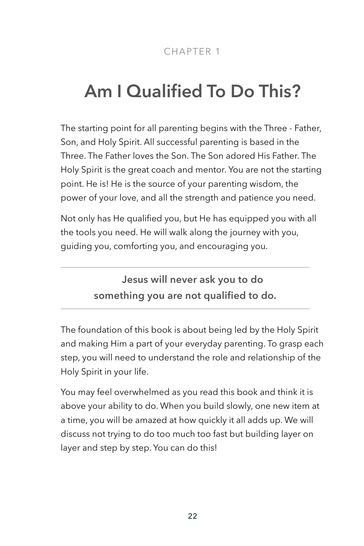# **Am I Qualified To Do This?**

The starting point for all parenting begins with the Three - Father, Son, and Holy Spirit. All successful parenting is based in the Three. The Father loves the Son. The Son adored His Father. The Holy Spirit is the great coach and mentor. You are not the starting point. He is! He is the source of your parenting wisdom, the power of your love, and all the strength and patience you need.

Not only has He qualified you, but He has equipped you with all the tools you need. He will walk along the journey with you, guiding you, comforting you, and encouraging you.

> **Jesus will never ask you to do something you are not qualified to do.**

The foundation of this book is about being led by the Holy Spirit and making Him a part of your everyday parenting. To grasp each step, you will need to understand the role and relationship of the Holy Spirit in your life.

You may feel overwhelmed as you read this book and think it is above your ability to do. When you build slowly, one new item at a time, you will be amazed at how quickly it all adds up. We will discuss not trying to do too much too fast but building layer on layer and step by step. You can do this!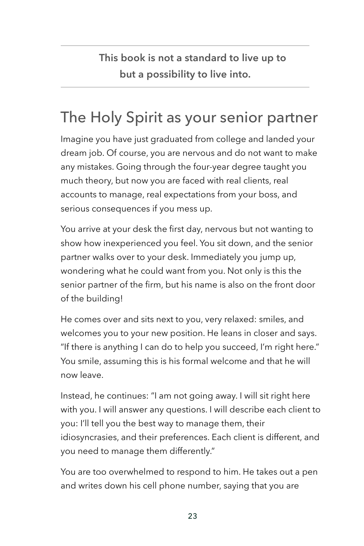**This book is not a standard to live up to but a possibility to live into.**

# The Holy Spirit as your senior partner

Imagine you have just graduated from college and landed your dream job. Of course, you are nervous and do not want to make any mistakes. Going through the four-year degree taught you much theory, but now you are faced with real clients, real accounts to manage, real expectations from your boss, and serious consequences if you mess up.

You arrive at your desk the first day, nervous but not wanting to show how inexperienced you feel. You sit down, and the senior partner walks over to your desk. Immediately you jump up, wondering what he could want from you. Not only is this the senior partner of the firm, but his name is also on the front door of the building!

He comes over and sits next to you, very relaxed: smiles, and welcomes you to your new position. He leans in closer and says. "If there is anything I can do to help you succeed, I'm right here." You smile, assuming this is his formal welcome and that he will now leave.

Instead, he continues: "I am not going away. I will sit right here with you. I will answer any questions. I will describe each client to you: I'll tell you the best way to manage them, their idiosyncrasies, and their preferences. Each client is different, and you need to manage them differently."

You are too overwhelmed to respond to him. He takes out a pen and writes down his cell phone number, saying that you are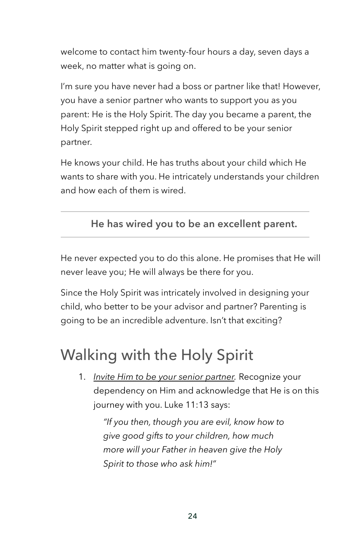welcome to contact him twenty-four hours a day, seven days a week, no matter what is going on.

I'm sure you have never had a boss or partner like that! However, you have a senior partner who wants to support you as you parent: He is the Holy Spirit. The day you became a parent, the Holy Spirit stepped right up and offered to be your senior partner.

He knows your child. He has truths about your child which He wants to share with you. He intricately understands your children and how each of them is wired.

#### **He has wired you to be an excellent parent.**

He never expected you to do this alone. He promises that He will never leave you; He will always be there for you.

Since the Holy Spirit was intricately involved in designing your child, who better to be your advisor and partner? Parenting is going to be an incredible adventure. Isn't that exciting?

## Walking with the Holy Spirit

1. *Invite Him to be your senior partner.* Recognize your dependency on Him and acknowledge that He is on this journey with you. Luke 11:13 says:

> *"If you then, though you are evil, know how to give good gifts to your children, how much more will your Father in heaven give the Holy Spirit to those who ask him!"*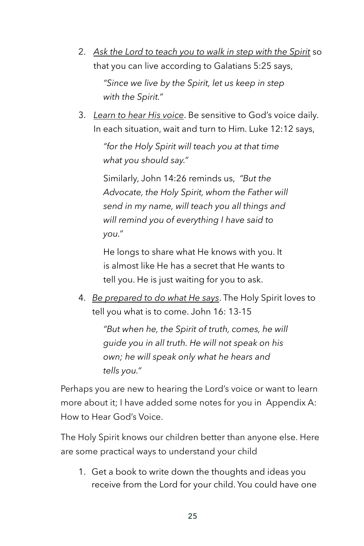- 2. *Ask the Lord to teach you to walk in step with the Spirit* so that you can live according to Galatians 5:25 says, *"Since we live by the Spirit, let us keep in step with the Spirit."*
- 3. *Learn to hear His voice*. Be sensitive to God's voice daily. In each situation, wait and turn to Him. Luke 12:12 says,

*"for the Holy Spirit will teach you at that time what you should say."* 

Similarly, John 14:26 reminds us, *"But the Advocate, the Holy Spirit, whom the Father will send in my name, will teach you all things and will remind you of everything I have said to you."*

He longs to share what He knows with you. It is almost like He has a secret that He wants to tell you. He is just waiting for you to ask.

4. *Be prepared to do what He says*. The Holy Spirit loves to tell you what is to come. John 16: 13-15

> *"But when he, the Spirit of truth, comes, he will guide you in all truth. He will not speak on his own; he will speak only what he hears and tells you."*

Perhaps you are new to hearing the Lord's voice or want to learn more about it; I have added some notes for you in Appendix A: How to Hear God's Voice.

The Holy Spirit knows our children better than anyone else. Here are some practical ways to understand your child

1. Get a book to write down the thoughts and ideas you receive from the Lord for your child. You could have one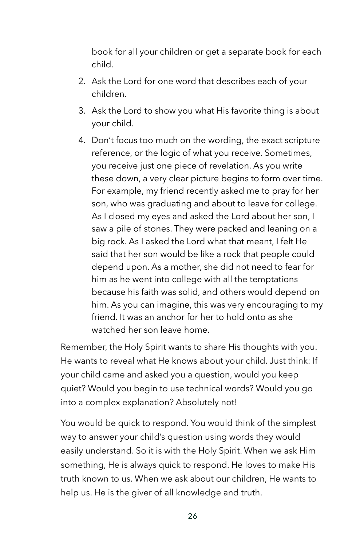book for all your children or get a separate book for each child.

- 2. Ask the Lord for one word that describes each of your children.
- 3. Ask the Lord to show you what His favorite thing is about your child.
- 4. Don't focus too much on the wording, the exact scripture reference, or the logic of what you receive. Sometimes, you receive just one piece of revelation. As you write these down, a very clear picture begins to form over time. For example, my friend recently asked me to pray for her son, who was graduating and about to leave for college. As I closed my eyes and asked the Lord about her son, I saw a pile of stones. They were packed and leaning on a big rock. As I asked the Lord what that meant, I felt He said that her son would be like a rock that people could depend upon. As a mother, she did not need to fear for him as he went into college with all the temptations because his faith was solid, and others would depend on him. As you can imagine, this was very encouraging to my friend. It was an anchor for her to hold onto as she watched her son leave home.

Remember, the Holy Spirit wants to share His thoughts with you. He wants to reveal what He knows about your child. Just think: If your child came and asked you a question, would you keep quiet? Would you begin to use technical words? Would you go into a complex explanation? Absolutely not!

You would be quick to respond. You would think of the simplest way to answer your child's question using words they would easily understand. So it is with the Holy Spirit. When we ask Him something, He is always quick to respond. He loves to make His truth known to us. When we ask about our children, He wants to help us. He is the giver of all knowledge and truth.